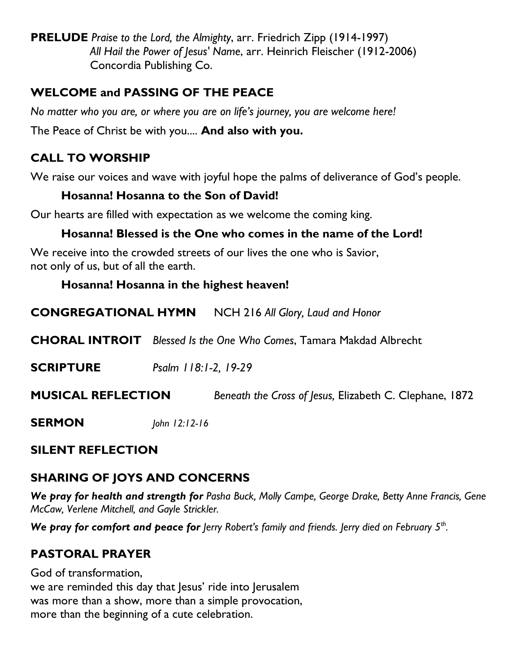**PRELUDE** *Praise to the Lord, the Almighty*, arr. Friedrich Zipp (1914-1997) *All Hail the Power of Jesus' Name*, arr. Heinrich Fleischer (1912-2006) Concordia Publishing Co.

## **WELCOME and PASSING OF THE PEACE**

*No matter who you are, or where you are on life's journey, you are welcome here!*

The Peace of Christ be with you.... **And also with you.**

# **CALL TO WORSHIP**

We raise our voices and wave with joyful hope the palms of deliverance of God's people.

## **Hosanna! Hosanna to the Son of David!**

Our hearts are filled with expectation as we welcome the coming king.

## **Hosanna! Blessed is the One who comes in the name of the Lord!**

We receive into the crowded streets of our lives the one who is Savior, not only of us, but of all the earth.

### **Hosanna! Hosanna in the highest heaven!**

| <b>CONGREGATIONAL HYMN</b> | NCH 216 All Glory, Laud and Honor |
|----------------------------|-----------------------------------|
|----------------------------|-----------------------------------|

**CHORAL INTROIT** *Blessed Is the One Who Comes*, Tamara Makdad Albrecht

**SCRIPTURE** *[Psalm 118:1-2, 19-29](http://www.textweek.com/writings/psalm118.htm)*

**MUSICAL REFLECTION** *Beneath the Cross of Jesus,* Elizabeth C. Clephane, 1872

**SERMON** *John 12:12-16*

## **SILENT REFLECTION**

## **SHARING OF JOYS AND CONCERNS**

*We pray for health and strength for Pasha Buck, Molly Campe, George Drake, Betty Anne Francis, Gene McCaw, Verlene Mitchell, and Gayle Strickler.*

*We pray for comfort and peace for lerry Robert's family and friends. Jerry died on February 5<sup>th</sup>. .*

# **PASTORAL PRAYER**

God of transformation, we are reminded this day that Jesus' ride into Jerusalem was more than a show, more than a simple provocation, more than the beginning of a cute celebration.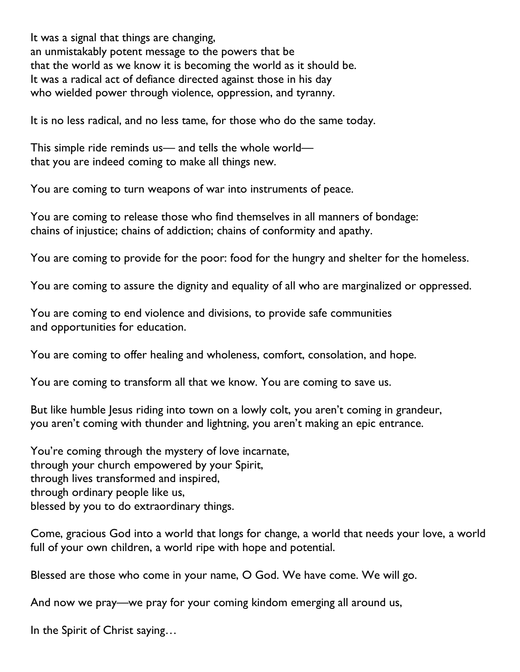It was a signal that things are changing, an unmistakably potent message to the powers that be that the world as we know it is becoming the world as it should be. It was a radical act of defiance directed against those in his day who wielded power through violence, oppression, and tyranny.

It is no less radical, and no less tame, for those who do the same today.

This simple ride reminds us— and tells the whole world that you are indeed coming to make all things new.

You are coming to turn weapons of war into instruments of peace.

You are coming to release those who find themselves in all manners of bondage: chains of injustice; chains of addiction; chains of conformity and apathy.

You are coming to provide for the poor: food for the hungry and shelter for the homeless.

You are coming to assure the dignity and equality of all who are marginalized or oppressed.

You are coming to end violence and divisions, to provide safe communities and opportunities for education.

You are coming to offer healing and wholeness, comfort, consolation, and hope.

You are coming to transform all that we know. You are coming to save us.

But like humble Jesus riding into town on a lowly colt, you aren't coming in grandeur, you aren't coming with thunder and lightning, you aren't making an epic entrance.

You're coming through the mystery of love incarnate, through your church empowered by your Spirit, through lives transformed and inspired, through ordinary people like us, blessed by you to do extraordinary things.

Come, gracious God into a world that longs for change, a world that needs your love, a world full of your own children, a world ripe with hope and potential.

Blessed are those who come in your name, O God. We have come. We will go.

And now we pray—we pray for your coming kindom emerging all around us,

In the Spirit of Christ saying…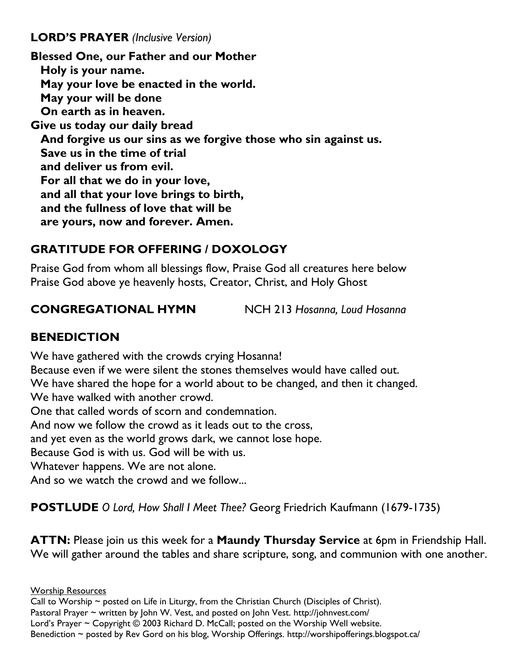### **LORD'S PRAYER** *(Inclusive Version)*

**Blessed One, our Father and our Mother Holy is your name. May your love be enacted in the world. May your will be done On earth as in heaven. Give us today our daily bread And forgive us our sins as we forgive those who sin against us. Save us in the time of trial and deliver us from evil. For all that we do in your love, and all that your love brings to birth, and the fullness of love that will be are yours, now and forever. Amen.**

# **GRATITUDE FOR OFFERING / DOXOLOGY**

Praise God from whom all blessings flow, Praise God all creatures here below Praise God above ye heavenly hosts, Creator, Christ, and Holy Ghost

**CONGREGATIONAL HYMN** NCH 213 *Hosanna, Loud Hosanna*

## **BENEDICTION**

We have gathered with the crowds crying Hosanna! Because even if we were silent the stones themselves would have called out. We have shared the hope for a world about to be changed, and then it changed. We have walked with another crowd. One that called words of scorn and condemnation. And now we follow the crowd as it leads out to the cross, and yet even as the world grows dark, we cannot lose hope. Because God is with us. God will be with us. Whatever happens. We are not alone. And so we watch the crowd and we follow...

**POSTLUDE** *O Lord, How Shall I Meet Thee?* Georg Friedrich Kaufmann (1679-1735)

**ATTN:** Please join us this week for a **Maundy Thursday Service** at 6pm in Friendship Hall. We will gather around the tables and share scripture, song, and communion with one another.

Worship Resources

Call to Worship ~ posted on Life in Liturgy, from the Christian Church (Disciples of Christ). Pastoral Prayer ~ written by John W. Vest, and posted on John Vest.<http://johnvest.com/> Lord's Prayer ~ Copyright © 2003 Richard D. McCall; posted on the [Worship Well](http://www.theworshipwell.org/pdf/WOR_McCall3.pdf) website. Benediction ~ posted by Rev Gord on his blog, Worship Offerings.<http://worshipofferings.blogspot.ca/>